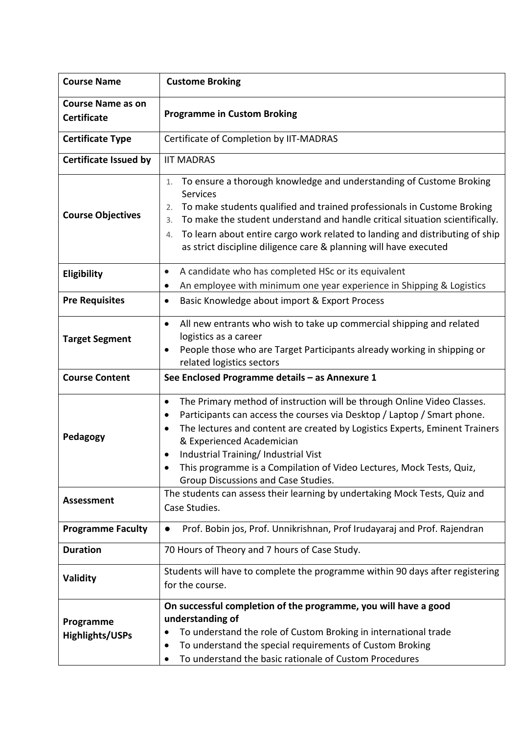| <b>Course Name</b>                             | <b>Custome Broking</b>                                                                                                                                                                                                                                                                                                                                                                                                                               |  |  |  |
|------------------------------------------------|------------------------------------------------------------------------------------------------------------------------------------------------------------------------------------------------------------------------------------------------------------------------------------------------------------------------------------------------------------------------------------------------------------------------------------------------------|--|--|--|
| <b>Course Name as on</b><br><b>Certificate</b> | <b>Programme in Custom Broking</b>                                                                                                                                                                                                                                                                                                                                                                                                                   |  |  |  |
| <b>Certificate Type</b>                        | Certificate of Completion by IIT-MADRAS                                                                                                                                                                                                                                                                                                                                                                                                              |  |  |  |
| <b>Certificate Issued by</b>                   | <b>IIT MADRAS</b>                                                                                                                                                                                                                                                                                                                                                                                                                                    |  |  |  |
| <b>Course Objectives</b>                       | To ensure a thorough knowledge and understanding of Custome Broking<br>1.<br><b>Services</b><br>To make students qualified and trained professionals in Custome Broking<br>2.<br>To make the student understand and handle critical situation scientifically.<br>3.<br>To learn about entire cargo work related to landing and distributing of ship<br>4.<br>as strict discipline diligence care & planning will have executed                       |  |  |  |
| Eligibility                                    | A candidate who has completed HSc or its equivalent<br>$\bullet$                                                                                                                                                                                                                                                                                                                                                                                     |  |  |  |
| <b>Pre Requisites</b>                          | An employee with minimum one year experience in Shipping & Logistics<br>$\bullet$<br>Basic Knowledge about import & Export Process<br>٠                                                                                                                                                                                                                                                                                                              |  |  |  |
| <b>Target Segment</b>                          | All new entrants who wish to take up commercial shipping and related<br>$\bullet$<br>logistics as a career<br>People those who are Target Participants already working in shipping or<br>٠<br>related logistics sectors                                                                                                                                                                                                                              |  |  |  |
| <b>Course Content</b>                          | See Enclosed Programme details - as Annexure 1                                                                                                                                                                                                                                                                                                                                                                                                       |  |  |  |
| Pedagogy                                       | The Primary method of instruction will be through Online Video Classes.<br>٠<br>Participants can access the courses via Desktop / Laptop / Smart phone.<br>$\bullet$<br>The lectures and content are created by Logistics Experts, Eminent Trainers<br>$\bullet$<br>& Experienced Academician<br>Industrial Training/ Industrial Vist<br>This programme is a Compilation of Video Lectures, Mock Tests, Quiz,<br>Group Discussions and Case Studies. |  |  |  |
| <b>Assessment</b>                              | The students can assess their learning by undertaking Mock Tests, Quiz and<br>Case Studies.                                                                                                                                                                                                                                                                                                                                                          |  |  |  |
| <b>Programme Faculty</b>                       | Prof. Bobin jos, Prof. Unnikrishnan, Prof Irudayaraj and Prof. Rajendran<br>$\bullet$                                                                                                                                                                                                                                                                                                                                                                |  |  |  |
| <b>Duration</b>                                | 70 Hours of Theory and 7 hours of Case Study.                                                                                                                                                                                                                                                                                                                                                                                                        |  |  |  |
| Validity                                       | Students will have to complete the programme within 90 days after registering<br>for the course.                                                                                                                                                                                                                                                                                                                                                     |  |  |  |
| Programme<br><b>Highlights/USPs</b>            | On successful completion of the programme, you will have a good<br>understanding of<br>To understand the role of Custom Broking in international trade<br>To understand the special requirements of Custom Broking<br>To understand the basic rationale of Custom Procedures                                                                                                                                                                         |  |  |  |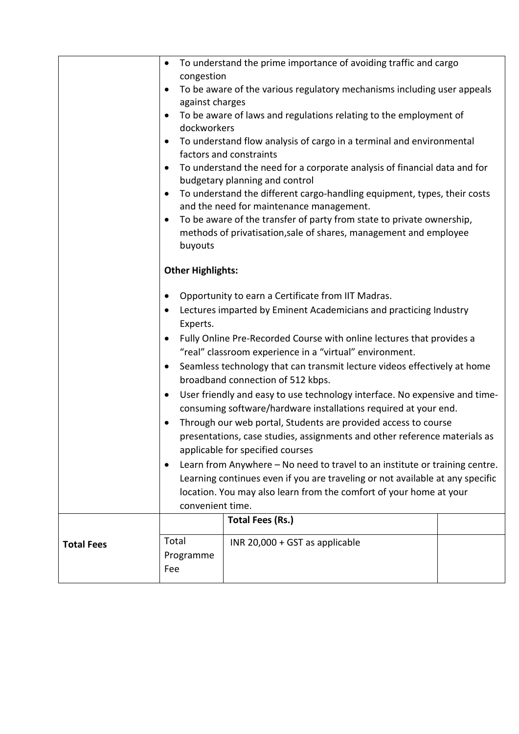|                   | To understand the prime importance of avoiding traffic and cargo<br>$\bullet$<br>congestion                                                                                                                                                                                                                                                                                                                                                                                                                                                                                                                                                                                                                                                                                                                                                                                                                                                                                                                                                                                       |                                |  |  |  |
|-------------------|-----------------------------------------------------------------------------------------------------------------------------------------------------------------------------------------------------------------------------------------------------------------------------------------------------------------------------------------------------------------------------------------------------------------------------------------------------------------------------------------------------------------------------------------------------------------------------------------------------------------------------------------------------------------------------------------------------------------------------------------------------------------------------------------------------------------------------------------------------------------------------------------------------------------------------------------------------------------------------------------------------------------------------------------------------------------------------------|--------------------------------|--|--|--|
|                   | To be aware of the various regulatory mechanisms including user appeals<br>against charges                                                                                                                                                                                                                                                                                                                                                                                                                                                                                                                                                                                                                                                                                                                                                                                                                                                                                                                                                                                        |                                |  |  |  |
|                   | To be aware of laws and regulations relating to the employment of<br>dockworkers                                                                                                                                                                                                                                                                                                                                                                                                                                                                                                                                                                                                                                                                                                                                                                                                                                                                                                                                                                                                  |                                |  |  |  |
|                   | To understand flow analysis of cargo in a terminal and environmental<br>factors and constraints                                                                                                                                                                                                                                                                                                                                                                                                                                                                                                                                                                                                                                                                                                                                                                                                                                                                                                                                                                                   |                                |  |  |  |
|                   | To understand the need for a corporate analysis of financial data and for<br>$\bullet$<br>budgetary planning and control                                                                                                                                                                                                                                                                                                                                                                                                                                                                                                                                                                                                                                                                                                                                                                                                                                                                                                                                                          |                                |  |  |  |
|                   | To understand the different cargo-handling equipment, types, their costs<br>$\bullet$<br>and the need for maintenance management.<br>To be aware of the transfer of party from state to private ownership,<br>$\bullet$<br>methods of privatisation, sale of shares, management and employee<br>buyouts                                                                                                                                                                                                                                                                                                                                                                                                                                                                                                                                                                                                                                                                                                                                                                           |                                |  |  |  |
|                   |                                                                                                                                                                                                                                                                                                                                                                                                                                                                                                                                                                                                                                                                                                                                                                                                                                                                                                                                                                                                                                                                                   |                                |  |  |  |
|                   | <b>Other Highlights:</b><br>Opportunity to earn a Certificate from IIT Madras.<br>$\bullet$<br>Lectures imparted by Eminent Academicians and practicing Industry<br>$\bullet$<br>Experts.<br>Fully Online Pre-Recorded Course with online lectures that provides a<br>$\bullet$<br>"real" classroom experience in a "virtual" environment.<br>Seamless technology that can transmit lecture videos effectively at home<br>$\bullet$<br>broadband connection of 512 kbps.<br>User friendly and easy to use technology interface. No expensive and time-<br>$\bullet$<br>consuming software/hardware installations required at your end.<br>Through our web portal, Students are provided access to course<br>$\bullet$<br>presentations, case studies, assignments and other reference materials as<br>applicable for specified courses<br>Learn from Anywhere - No need to travel to an institute or training centre.<br>٠<br>Learning continues even if you are traveling or not available at any specific<br>location. You may also learn from the comfort of your home at your |                                |  |  |  |
|                   |                                                                                                                                                                                                                                                                                                                                                                                                                                                                                                                                                                                                                                                                                                                                                                                                                                                                                                                                                                                                                                                                                   |                                |  |  |  |
|                   |                                                                                                                                                                                                                                                                                                                                                                                                                                                                                                                                                                                                                                                                                                                                                                                                                                                                                                                                                                                                                                                                                   |                                |  |  |  |
|                   |                                                                                                                                                                                                                                                                                                                                                                                                                                                                                                                                                                                                                                                                                                                                                                                                                                                                                                                                                                                                                                                                                   |                                |  |  |  |
|                   |                                                                                                                                                                                                                                                                                                                                                                                                                                                                                                                                                                                                                                                                                                                                                                                                                                                                                                                                                                                                                                                                                   |                                |  |  |  |
|                   |                                                                                                                                                                                                                                                                                                                                                                                                                                                                                                                                                                                                                                                                                                                                                                                                                                                                                                                                                                                                                                                                                   |                                |  |  |  |
|                   |                                                                                                                                                                                                                                                                                                                                                                                                                                                                                                                                                                                                                                                                                                                                                                                                                                                                                                                                                                                                                                                                                   |                                |  |  |  |
|                   |                                                                                                                                                                                                                                                                                                                                                                                                                                                                                                                                                                                                                                                                                                                                                                                                                                                                                                                                                                                                                                                                                   |                                |  |  |  |
|                   |                                                                                                                                                                                                                                                                                                                                                                                                                                                                                                                                                                                                                                                                                                                                                                                                                                                                                                                                                                                                                                                                                   |                                |  |  |  |
|                   |                                                                                                                                                                                                                                                                                                                                                                                                                                                                                                                                                                                                                                                                                                                                                                                                                                                                                                                                                                                                                                                                                   |                                |  |  |  |
|                   |                                                                                                                                                                                                                                                                                                                                                                                                                                                                                                                                                                                                                                                                                                                                                                                                                                                                                                                                                                                                                                                                                   |                                |  |  |  |
|                   |                                                                                                                                                                                                                                                                                                                                                                                                                                                                                                                                                                                                                                                                                                                                                                                                                                                                                                                                                                                                                                                                                   |                                |  |  |  |
|                   | convenient time.                                                                                                                                                                                                                                                                                                                                                                                                                                                                                                                                                                                                                                                                                                                                                                                                                                                                                                                                                                                                                                                                  | <b>Total Fees (Rs.)</b>        |  |  |  |
|                   |                                                                                                                                                                                                                                                                                                                                                                                                                                                                                                                                                                                                                                                                                                                                                                                                                                                                                                                                                                                                                                                                                   |                                |  |  |  |
| <b>Total Fees</b> | Total                                                                                                                                                                                                                                                                                                                                                                                                                                                                                                                                                                                                                                                                                                                                                                                                                                                                                                                                                                                                                                                                             | INR 20,000 + GST as applicable |  |  |  |
|                   | Programme<br>Fee                                                                                                                                                                                                                                                                                                                                                                                                                                                                                                                                                                                                                                                                                                                                                                                                                                                                                                                                                                                                                                                                  |                                |  |  |  |
|                   |                                                                                                                                                                                                                                                                                                                                                                                                                                                                                                                                                                                                                                                                                                                                                                                                                                                                                                                                                                                                                                                                                   |                                |  |  |  |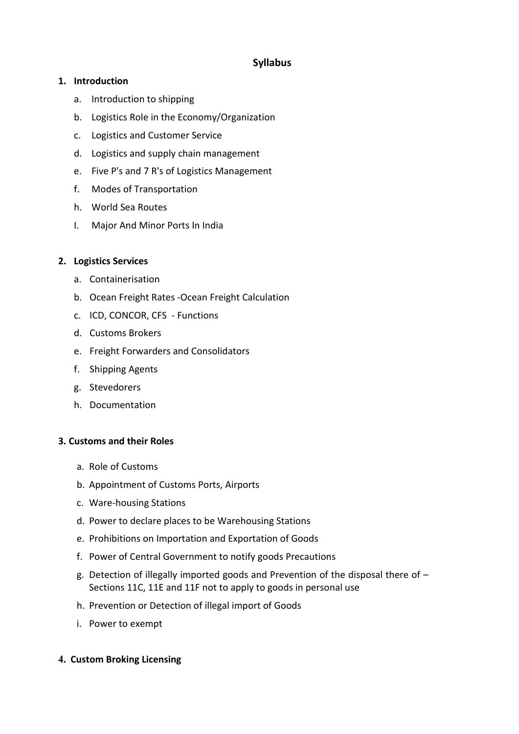# **Syllabus**

## **1. Introduction**

- a. Introduction to shipping
- b. Logistics Role in the Economy/Organization
- c. Logistics and Customer Service
- d. Logistics and supply chain management
- e. Five P's and 7 R's of Logistics Management
- f. Modes of Transportation
- h. World Sea Routes
- I. Major And Minor Ports In India

#### **2. Logistics Services**

- a. Containerisation
- b. Ocean Freight Rates -Ocean Freight Calculation
- c. ICD, CONCOR, CFS Functions
- d. Customs Brokers
- e. Freight Forwarders and Consolidators
- f. Shipping Agents
- g. Stevedorers
- h. Documentation

#### **3. Customs and their Roles**

- a. Role of Customs
- b. Appointment of Customs Ports, Airports
- c. Ware-housing Stations
- d. Power to declare places to be Warehousing Stations
- e. Prohibitions on Importation and Exportation of Goods
- f. Power of Central Government to notify goods Precautions
- g. Detection of illegally imported goods and Prevention of the disposal there of Sections 11C, 11E and 11F not to apply to goods in personal use
- h. Prevention or Detection of illegal import of Goods
- i. Power to exempt
- **4. Custom Broking Licensing**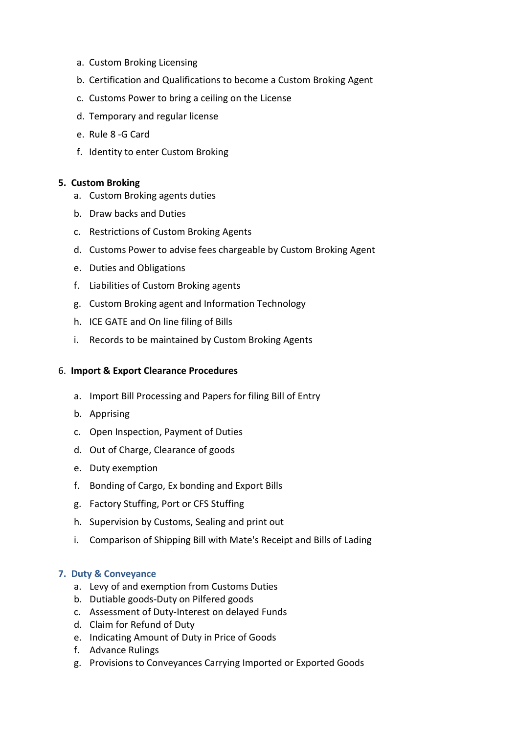- a. Custom Broking Licensing
- b. Certification and Qualifications to become a Custom Broking Agent
- c. Customs Power to bring a ceiling on the License
- d. Temporary and regular license
- e. Rule 8 -G Card
- f. Identity to enter Custom Broking

#### **5. Custom Broking**

- a. Custom Broking agents duties
- b. Draw backs and Duties
- c. Restrictions of Custom Broking Agents
- d. Customs Power to advise fees chargeable by Custom Broking Agent
- e. Duties and Obligations
- f. Liabilities of Custom Broking agents
- g. Custom Broking agent and Information Technology
- h. ICE GATE and On line filing of Bills
- i. Records to be maintained by Custom Broking Agents

#### 6. **Import & Export Clearance Procedures**

- a. Import Bill Processing and Papers for filing Bill of Entry
- b. Apprising
- c. Open Inspection, Payment of Duties
- d. Out of Charge, Clearance of goods
- e. Duty exemption
- f. Bonding of Cargo, Ex bonding and Export Bills
- g. Factory Stuffing, Port or CFS Stuffing
- h. Supervision by Customs, Sealing and print out
- i. Comparison of Shipping Bill with Mate's Receipt and Bills of Lading

#### **7. Duty & Conveyance**

- a. Levy of and exemption from Customs Duties
- b. Dutiable goods-Duty on Pilfered goods
- c. Assessment of Duty-Interest on delayed Funds
- d. Claim for Refund of Duty
- e. Indicating Amount of Duty in Price of Goods
- f. Advance Rulings
- g. Provisions to Conveyances Carrying Imported or Exported Goods